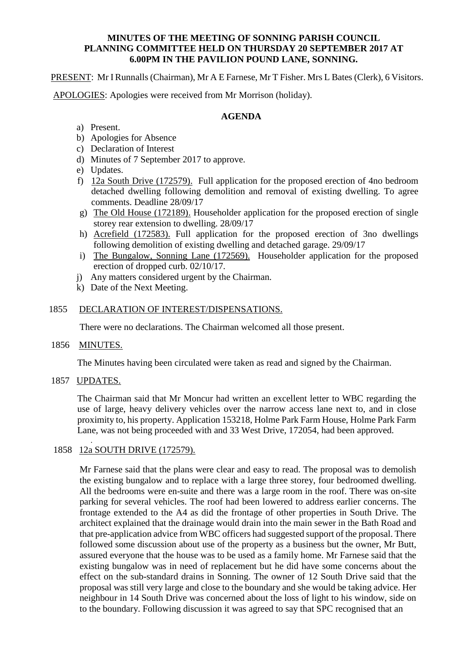#### **MINUTES OF THE MEETING OF SONNING PARISH COUNCIL PLANNING COMMITTEE HELD ON THURSDAY 20 SEPTEMBER 2017 AT 6.00PM IN THE PAVILION POUND LANE, SONNING.**

PRESENT: Mr I Runnalls (Chairman), Mr A E Farnese, Mr T Fisher. Mrs L Bates (Clerk), 6 Visitors.

APOLOGIES: Apologies were received from Mr Morrison (holiday).

### **AGENDA**

- a) Present.
- b) Apologies for Absence
- c) Declaration of Interest
- d) Minutes of 7 September 2017 to approve.
- e) Updates.
- f) 12a South Drive (172579). Full application for the proposed erection of 4no bedroom detached dwelling following demolition and removal of existing dwelling. To agree comments. Deadline 28/09/17
- g) The Old House (172189). Householder application for the proposed erection of single storey rear extension to dwelling. 28/09/17
- h) Acrefield (172583). Full application for the proposed erection of 3no dwellings following demolition of existing dwelling and detached garage. 29/09/17
- i) The Bungalow, Sonning Lane (172569). Householder application for the proposed erection of dropped curb. 02/10/17.
- j) Any matters considered urgent by the Chairman.
- k) Date of the Next Meeting.

### 1855 DECLARATION OF INTEREST/DISPENSATIONS.

There were no declarations. The Chairman welcomed all those present.

1856 MINUTES.

The Minutes having been circulated were taken as read and signed by the Chairman.

1857 UPDATES.

The Chairman said that Mr Moncur had written an excellent letter to WBC regarding the use of large, heavy delivery vehicles over the narrow access lane next to, and in close proximity to, his property. Application 153218, Holme Park Farm House, Holme Park Farm Lane, was not being proceeded with and 33 West Drive, 172054, had been approved.

# 1858 12a SOUTH DRIVE (172579).

Mr Farnese said that the plans were clear and easy to read. The proposal was to demolish the existing bungalow and to replace with a large three storey, four bedroomed dwelling. All the bedrooms were en-suite and there was a large room in the roof. There was on-site parking for several vehicles. The roof had been lowered to address earlier concerns. The frontage extended to the A4 as did the frontage of other properties in South Drive. The architect explained that the drainage would drain into the main sewer in the Bath Road and that pre-application advice from WBC officers had suggested support of the proposal. There followed some discussion about use of the property as a business but the owner, Mr Butt, assured everyone that the house was to be used as a family home. Mr Farnese said that the existing bungalow was in need of replacement but he did have some concerns about the effect on the sub-standard drains in Sonning. The owner of 12 South Drive said that the proposal was still very large and close to the boundary and she would be taking advice. Her neighbour in 14 South Drive was concerned about the loss of light to his window, side on to the boundary. Following discussion it was agreed to say that SPC recognised that an